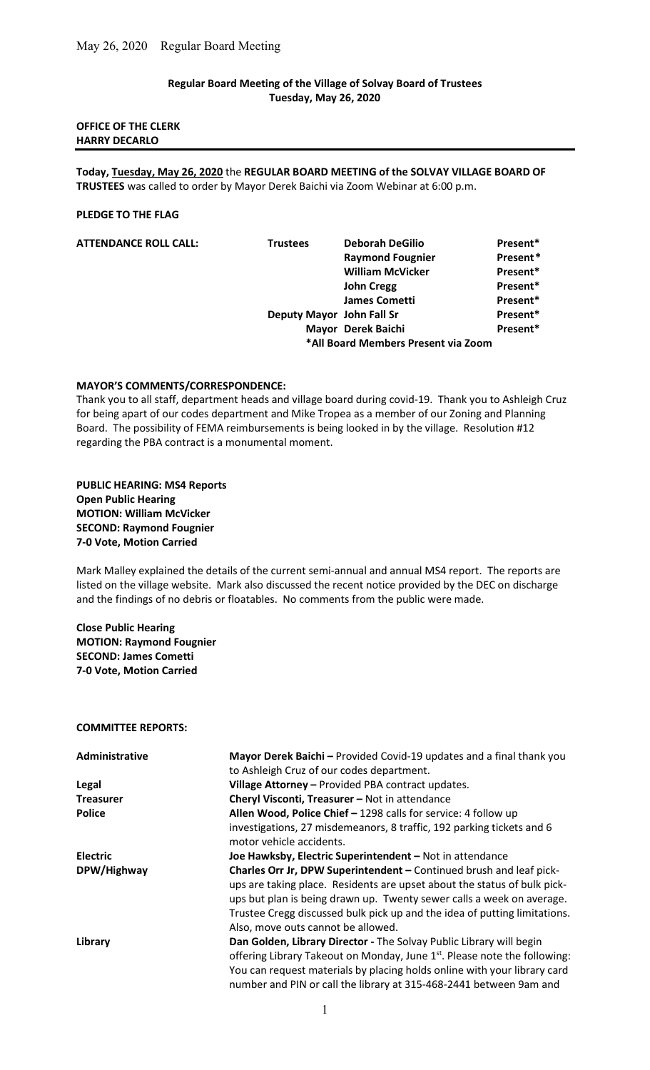# Regular Board Meeting of the Village of Solvay Board of Trustees Tuesday, May 26, 2020

## OFFICE OF THE CLERK HARRY DECARLO

Today, Tuesday, May 26, 2020 the REGULAR BOARD MEETING of the SOLVAY VILLAGE BOARD OF TRUSTEES was called to order by Mayor Derek Baichi via Zoom Webinar at 6:00 p.m.

### PLEDGE TO THE FLAG

| <b>ATTENDANCE ROLL CALL:</b> | <b>Trustees</b> | <b>Deborah DeGilio</b>              | Present* |
|------------------------------|-----------------|-------------------------------------|----------|
|                              |                 | <b>Raymond Fougnier</b>             | Present* |
|                              |                 | <b>William McVicker</b>             | Present* |
|                              |                 | <b>John Cregg</b>                   | Present* |
|                              |                 | <b>James Cometti</b>                | Present* |
|                              |                 | Deputy Mayor John Fall Sr           | Present* |
|                              |                 | Mayor Derek Baichi                  | Present* |
|                              |                 | *All Board Members Present via Zoom |          |

### MAYOR'S COMMENTS/CORRESPONDENCE:

Thank you to all staff, department heads and village board during covid-19. Thank you to Ashleigh Cruz for being apart of our codes department and Mike Tropea as a member of our Zoning and Planning Board. The possibility of FEMA reimbursements is being looked in by the village. Resolution #12 regarding the PBA contract is a monumental moment.

# PUBLIC HEARING: MS4 Reports Open Public Hearing MOTION: William McVicker SECOND: Raymond Fougnier 7-0 Vote, Motion Carried

Mark Malley explained the details of the current semi-annual and annual MS4 report. The reports are listed on the village website. Mark also discussed the recent notice provided by the DEC on discharge and the findings of no debris or floatables. No comments from the public were made.

# Close Public Hearing MOTION: Raymond Fougnier SECOND: James Cometti 7-0 Vote, Motion Carried

#### COMMITTEE REPORTS:

| Administrative   | Mayor Derek Baichi - Provided Covid-19 updates and a final thank you                  |  |
|------------------|---------------------------------------------------------------------------------------|--|
|                  | to Ashleigh Cruz of our codes department.                                             |  |
| <b>Legal</b>     | Village Attorney - Provided PBA contract updates.                                     |  |
| <b>Treasurer</b> | Cheryl Visconti, Treasurer - Not in attendance                                        |  |
| <b>Police</b>    | Allen Wood, Police Chief - 1298 calls for service: 4 follow up                        |  |
|                  | investigations, 27 misdemeanors, 8 traffic, 192 parking tickets and 6                 |  |
|                  | motor vehicle accidents.                                                              |  |
| <b>Electric</b>  | Joe Hawksby, Electric Superintendent - Not in attendance                              |  |
| DPW/Highway      | Charles Orr Jr, DPW Superintendent - Continued brush and leaf pick-                   |  |
|                  | ups are taking place. Residents are upset about the status of bulk pick-              |  |
|                  | ups but plan is being drawn up. Twenty sewer calls a week on average.                 |  |
|                  | Trustee Cregg discussed bulk pick up and the idea of putting limitations.             |  |
|                  | Also, move outs cannot be allowed.                                                    |  |
| Library          | Dan Golden, Library Director - The Solvay Public Library will begin                   |  |
|                  | offering Library Takeout on Monday, June 1 <sup>st</sup> . Please note the following: |  |
|                  | You can request materials by placing holds online with your library card              |  |
|                  | number and PIN or call the library at 315-468-2441 between 9am and                    |  |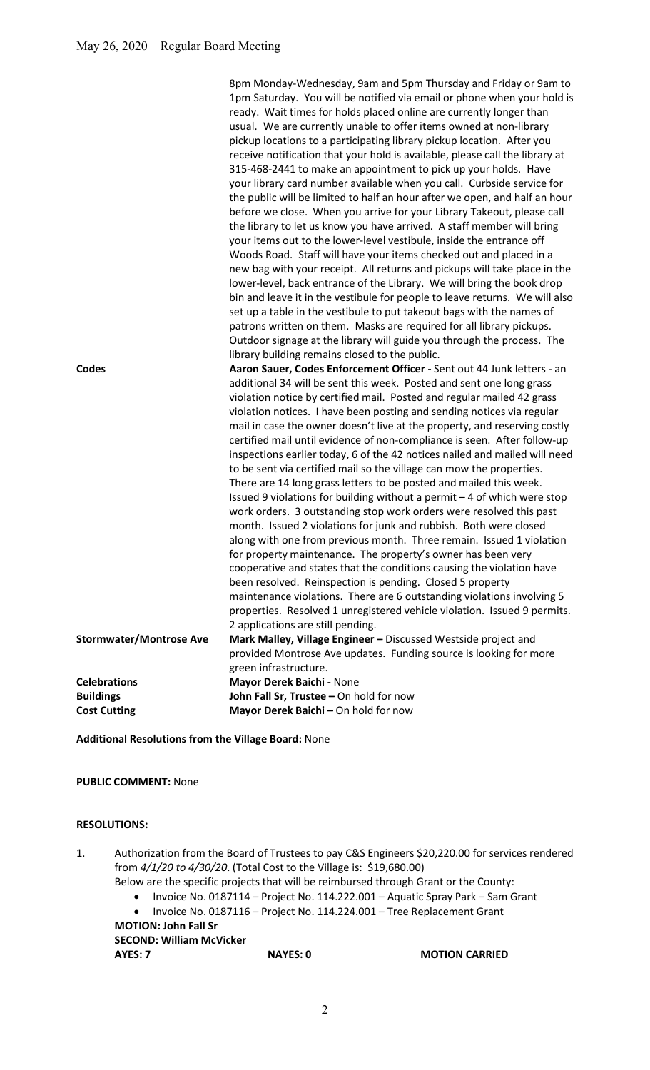| <b>Codes</b>                   | usual. We are currently unable to offer items owned at non-library<br>pickup locations to a participating library pickup location. After you<br>receive notification that your hold is available, please call the library at<br>315-468-2441 to make an appointment to pick up your holds. Have<br>your library card number available when you call. Curbside service for<br>the public will be limited to half an hour after we open, and half an hour<br>before we close. When you arrive for your Library Takeout, please call<br>the library to let us know you have arrived. A staff member will bring<br>your items out to the lower-level vestibule, inside the entrance off<br>Woods Road. Staff will have your items checked out and placed in a<br>new bag with your receipt. All returns and pickups will take place in the<br>lower-level, back entrance of the Library. We will bring the book drop<br>bin and leave it in the vestibule for people to leave returns. We will also<br>set up a table in the vestibule to put takeout bags with the names of<br>patrons written on them. Masks are required for all library pickups.<br>Outdoor signage at the library will guide you through the process. The<br>library building remains closed to the public.<br>Aaron Sauer, Codes Enforcement Officer - Sent out 44 Junk letters - an<br>additional 34 will be sent this week. Posted and sent one long grass<br>violation notice by certified mail. Posted and regular mailed 42 grass<br>violation notices. I have been posting and sending notices via regular<br>mail in case the owner doesn't live at the property, and reserving costly<br>certified mail until evidence of non-compliance is seen. After follow-up<br>inspections earlier today, 6 of the 42 notices nailed and mailed will need<br>to be sent via certified mail so the village can mow the properties.<br>There are 14 long grass letters to be posted and mailed this week.<br>Issued 9 violations for building without a permit $-4$ of which were stop<br>work orders. 3 outstanding stop work orders were resolved this past<br>month. Issued 2 violations for junk and rubbish. Both were closed<br>along with one from previous month. Three remain. Issued 1 violation<br>for property maintenance. The property's owner has been very<br>cooperative and states that the conditions causing the violation have<br>been resolved. Reinspection is pending. Closed 5 property<br>maintenance violations. There are 6 outstanding violations involving 5<br>properties. Resolved 1 unregistered vehicle violation. Issued 9 permits.<br>2 applications are still pending. |
|--------------------------------|---------------------------------------------------------------------------------------------------------------------------------------------------------------------------------------------------------------------------------------------------------------------------------------------------------------------------------------------------------------------------------------------------------------------------------------------------------------------------------------------------------------------------------------------------------------------------------------------------------------------------------------------------------------------------------------------------------------------------------------------------------------------------------------------------------------------------------------------------------------------------------------------------------------------------------------------------------------------------------------------------------------------------------------------------------------------------------------------------------------------------------------------------------------------------------------------------------------------------------------------------------------------------------------------------------------------------------------------------------------------------------------------------------------------------------------------------------------------------------------------------------------------------------------------------------------------------------------------------------------------------------------------------------------------------------------------------------------------------------------------------------------------------------------------------------------------------------------------------------------------------------------------------------------------------------------------------------------------------------------------------------------------------------------------------------------------------------------------------------------------------------------------------------------------------------------------------------------------------------------------------------------------------------------------------------------------------------------------------------------------------------------------------------------------------------------------------------------------------------------------------------------------------------------------------------------------------------------------------------------------------------------------------------------------------|
| <b>Stormwater/Montrose Ave</b> | Mark Malley, Village Engineer - Discussed Westside project and                                                                                                                                                                                                                                                                                                                                                                                                                                                                                                                                                                                                                                                                                                                                                                                                                                                                                                                                                                                                                                                                                                                                                                                                                                                                                                                                                                                                                                                                                                                                                                                                                                                                                                                                                                                                                                                                                                                                                                                                                                                                                                                                                                                                                                                                                                                                                                                                                                                                                                                                                                                                            |
|                                | provided Montrose Ave updates. Funding source is looking for more                                                                                                                                                                                                                                                                                                                                                                                                                                                                                                                                                                                                                                                                                                                                                                                                                                                                                                                                                                                                                                                                                                                                                                                                                                                                                                                                                                                                                                                                                                                                                                                                                                                                                                                                                                                                                                                                                                                                                                                                                                                                                                                                                                                                                                                                                                                                                                                                                                                                                                                                                                                                         |
|                                | green infrastructure.                                                                                                                                                                                                                                                                                                                                                                                                                                                                                                                                                                                                                                                                                                                                                                                                                                                                                                                                                                                                                                                                                                                                                                                                                                                                                                                                                                                                                                                                                                                                                                                                                                                                                                                                                                                                                                                                                                                                                                                                                                                                                                                                                                                                                                                                                                                                                                                                                                                                                                                                                                                                                                                     |
| <b>Celebrations</b>            | Mayor Derek Baichi - None                                                                                                                                                                                                                                                                                                                                                                                                                                                                                                                                                                                                                                                                                                                                                                                                                                                                                                                                                                                                                                                                                                                                                                                                                                                                                                                                                                                                                                                                                                                                                                                                                                                                                                                                                                                                                                                                                                                                                                                                                                                                                                                                                                                                                                                                                                                                                                                                                                                                                                                                                                                                                                                 |
| <b>Buildings</b>               | John Fall Sr, Trustee - On hold for now                                                                                                                                                                                                                                                                                                                                                                                                                                                                                                                                                                                                                                                                                                                                                                                                                                                                                                                                                                                                                                                                                                                                                                                                                                                                                                                                                                                                                                                                                                                                                                                                                                                                                                                                                                                                                                                                                                                                                                                                                                                                                                                                                                                                                                                                                                                                                                                                                                                                                                                                                                                                                                   |
| <b>Cost Cutting</b>            | Mayor Derek Baichi - On hold for now                                                                                                                                                                                                                                                                                                                                                                                                                                                                                                                                                                                                                                                                                                                                                                                                                                                                                                                                                                                                                                                                                                                                                                                                                                                                                                                                                                                                                                                                                                                                                                                                                                                                                                                                                                                                                                                                                                                                                                                                                                                                                                                                                                                                                                                                                                                                                                                                                                                                                                                                                                                                                                      |

Additional Resolutions from the Village Board: None

PUBLIC COMMENT: None

## RESOLUTIONS:

- 1. Authorization from the Board of Trustees to pay C&S Engineers \$20,220.00 for services rendered from 4/1/20 to 4/30/20. (Total Cost to the Village is: \$19,680.00)
	- Below are the specific projects that will be reimbursed through Grant or the County:
		- Invoice No. 0187114 Project No. 114.222.001 Aquatic Spray Park Sam Grant
	- Invoice No. 0187116 Project No. 114.224.001 Tree Replacement Grant MOTION: John Fall Sr

SECOND: William McVicker<br>AYES: 7

NAYES: 0 MOTION CARRIED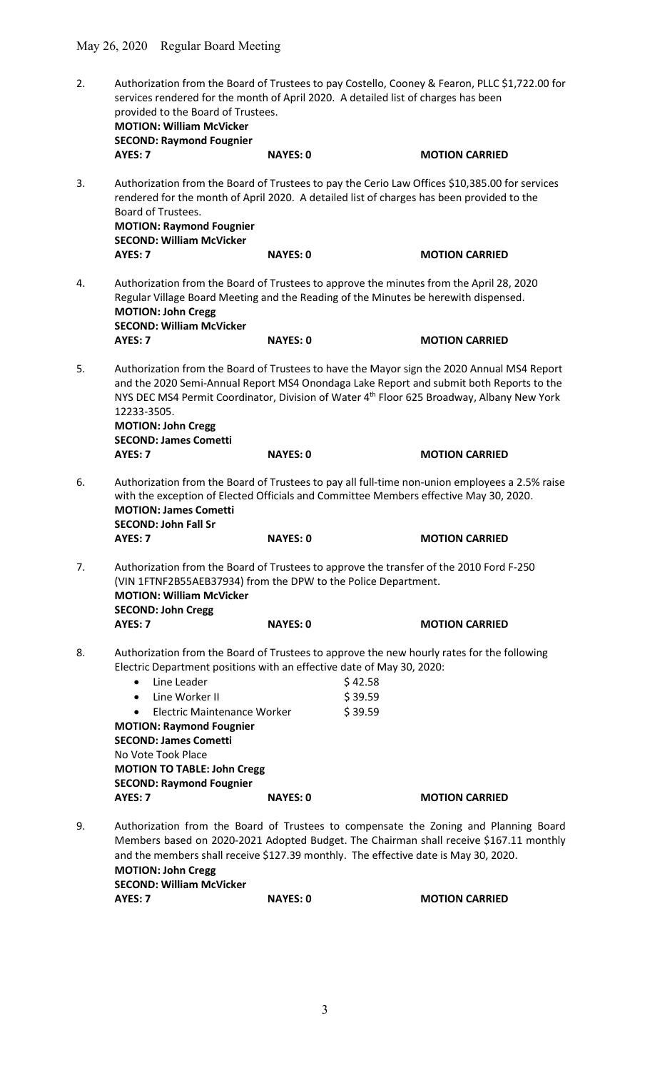| 2. | Authorization from the Board of Trustees to pay Costello, Cooney & Fearon, PLLC \$1,722.00 for<br>services rendered for the month of April 2020. A detailed list of charges has been<br>provided to the Board of Trustees.<br><b>MOTION: William McVicker</b><br><b>SECOND: Raymond Fougnier</b>                                               |                 |                                                                                                                                                                                                                                                                                                |  |
|----|------------------------------------------------------------------------------------------------------------------------------------------------------------------------------------------------------------------------------------------------------------------------------------------------------------------------------------------------|-----------------|------------------------------------------------------------------------------------------------------------------------------------------------------------------------------------------------------------------------------------------------------------------------------------------------|--|
|    | AYES: 7                                                                                                                                                                                                                                                                                                                                        | <b>NAYES: 0</b> | <b>MOTION CARRIED</b>                                                                                                                                                                                                                                                                          |  |
| 3. | Board of Trustees.<br><b>MOTION: Raymond Fougnier</b><br><b>SECOND: William McVicker</b>                                                                                                                                                                                                                                                       |                 | Authorization from the Board of Trustees to pay the Cerio Law Offices \$10,385.00 for services<br>rendered for the month of April 2020. A detailed list of charges has been provided to the                                                                                                    |  |
|    | AYES: 7                                                                                                                                                                                                                                                                                                                                        | <b>NAYES: 0</b> | <b>MOTION CARRIED</b>                                                                                                                                                                                                                                                                          |  |
| 4. | <b>MOTION: John Cregg</b><br><b>SECOND: William McVicker</b>                                                                                                                                                                                                                                                                                   |                 | Authorization from the Board of Trustees to approve the minutes from the April 28, 2020<br>Regular Village Board Meeting and the Reading of the Minutes be herewith dispensed.                                                                                                                 |  |
|    | AYES: 7                                                                                                                                                                                                                                                                                                                                        | <b>NAYES: 0</b> | <b>MOTION CARRIED</b>                                                                                                                                                                                                                                                                          |  |
| 5. | 12233-3505.<br><b>MOTION: John Cregg</b><br><b>SECOND: James Cometti</b>                                                                                                                                                                                                                                                                       |                 | Authorization from the Board of Trustees to have the Mayor sign the 2020 Annual MS4 Report<br>and the 2020 Semi-Annual Report MS4 Onondaga Lake Report and submit both Reports to the<br>NYS DEC MS4 Permit Coordinator, Division of Water 4 <sup>th</sup> Floor 625 Broadway, Albany New York |  |
|    | AYES: 7                                                                                                                                                                                                                                                                                                                                        | <b>NAYES: 0</b> | <b>MOTION CARRIED</b>                                                                                                                                                                                                                                                                          |  |
| 6. | <b>MOTION: James Cometti</b><br><b>SECOND: John Fall Sr</b>                                                                                                                                                                                                                                                                                    |                 | Authorization from the Board of Trustees to pay all full-time non-union employees a 2.5% raise<br>with the exception of Elected Officials and Committee Members effective May 30, 2020.                                                                                                        |  |
|    | AYES: 7                                                                                                                                                                                                                                                                                                                                        | <b>NAYES: 0</b> | <b>MOTION CARRIED</b>                                                                                                                                                                                                                                                                          |  |
| 7. | (VIN 1FTNF2B55AEB37934) from the DPW to the Police Department.<br><b>MOTION: William McVicker</b><br><b>SECOND: John Cregg</b>                                                                                                                                                                                                                 |                 | Authorization from the Board of Trustees to approve the transfer of the 2010 Ford F-250                                                                                                                                                                                                        |  |
|    | AYES: 7                                                                                                                                                                                                                                                                                                                                        | <b>NAYES: 0</b> | <b>MOTION CARRIED</b>                                                                                                                                                                                                                                                                          |  |
| 8. | Electric Department positions with an effective date of May 30, 2020:<br>Line Leader<br>$\bullet$<br>Line Worker II<br>$\bullet$<br>Electric Maintenance Worker<br>$\bullet$<br><b>MOTION: Raymond Fougnier</b><br><b>SECOND: James Cometti</b><br>No Vote Took Place<br><b>MOTION TO TABLE: John Cregg</b><br><b>SECOND: Raymond Fougnier</b> |                 | Authorization from the Board of Trustees to approve the new hourly rates for the following<br>\$42.58<br>\$39.59<br>\$39.59                                                                                                                                                                    |  |
|    | AYES: 7                                                                                                                                                                                                                                                                                                                                        | <b>NAYES: 0</b> | <b>MOTION CARRIED</b>                                                                                                                                                                                                                                                                          |  |
| 9. | Authorization from the Board of Trustees to compensate the Zoning and Planning Board<br>Members based on 2020-2021 Adopted Budget. The Chairman shall receive \$167.11 monthly<br>and the members shall receive \$127.39 monthly. The effective date is May 30, 2020.<br><b>MOTION: John Cregg</b><br><b>SECOND: William McVicker</b>          |                 |                                                                                                                                                                                                                                                                                                |  |
|    | AYES: 7                                                                                                                                                                                                                                                                                                                                        | <b>NAYES: 0</b> | <b>MOTION CARRIED</b>                                                                                                                                                                                                                                                                          |  |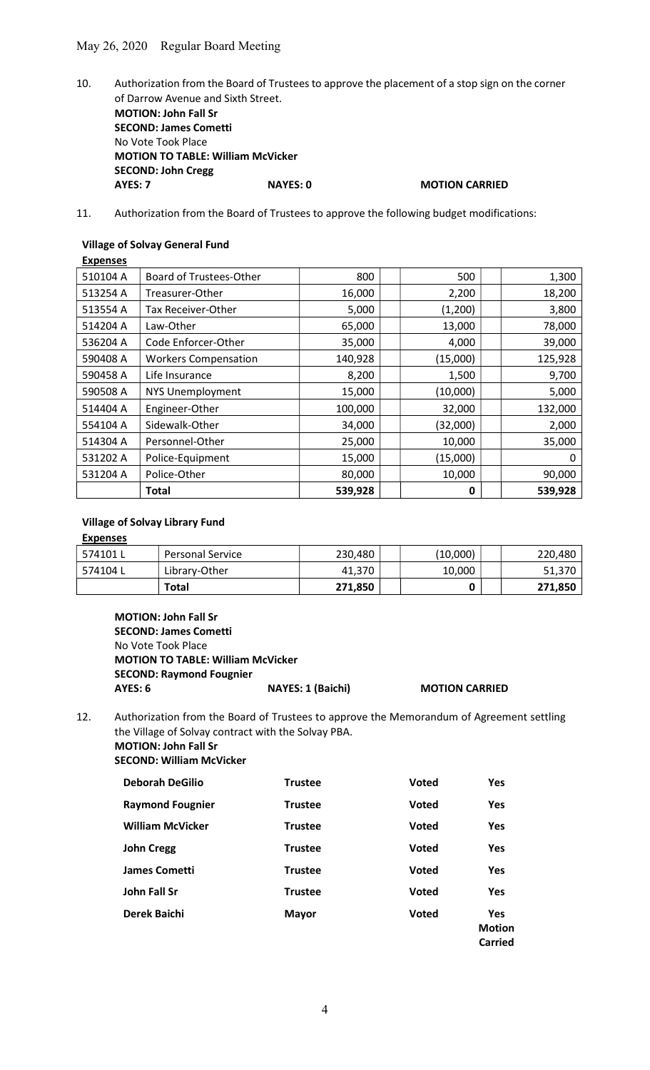- 10. Authorization from the Board of Trustees to approve the placement of a stop sign on the corner of Darrow Avenue and Sixth Street. MOTION: John Fall Sr SECOND: James Cometti No Vote Took Place MOTION TO TABLE: William McVicker SECOND: John Cregg AYES: 7 NAYES: 0 MOTION CARRIED
- 11. Authorization from the Board of Trustees to approve the following budget modifications:

# Village of Solvay General Fund

| <b>Expenses</b> |                                |         |          |         |
|-----------------|--------------------------------|---------|----------|---------|
| 510104 A        | <b>Board of Trustees-Other</b> | 800     | 500      | 1,300   |
| 513254 A        | Treasurer-Other                | 16,000  | 2,200    | 18,200  |
| 513554 A        | Tax Receiver-Other             | 5,000   | (1,200)  | 3,800   |
| 514204 A        | Law-Other                      | 65,000  | 13,000   | 78,000  |
| 536204 A        | Code Enforcer-Other            | 35,000  | 4,000    | 39,000  |
| 590408 A        | <b>Workers Compensation</b>    | 140,928 | (15,000) | 125,928 |
| 590458 A        | Life Insurance                 | 8,200   | 1,500    | 9,700   |
| 590508 A        | <b>NYS Unemployment</b>        | 15,000  | (10,000) | 5,000   |
| 514404 A        | Engineer-Other                 | 100,000 | 32,000   | 132,000 |
| 554104 A        | Sidewalk-Other                 | 34,000  | (32,000) | 2,000   |
| 514304 A        | Personnel-Other                | 25,000  | 10,000   | 35,000  |
| 531202 A        | Police-Equipment               | 15,000  | (15,000) | 0       |
| 531204 A        | Police-Other                   | 80,000  | 10,000   | 90,000  |
|                 | Total                          | 539,928 | 0        | 539,928 |

# Village of Solvay Library Fund

### **Expenses**

| ° 574101 L | <b>Personal Service</b> | 230,480 | (10,000) | 220,480 |
|------------|-------------------------|---------|----------|---------|
| ' 574104 L | Library-Other           | 41.370  | 10,000   | 51,370  |
|            | Total                   | 271,850 |          | 271,850 |

MOTION: John Fall Sr SECOND: James Cometti No Vote Took Place MOTION TO TABLE: William McVicker SECOND: Raymond Fougnier AYES: 6 NAYES: 1 (Baichi) MOTION CARRIED

12. Authorization from the Board of Trustees to approve the Memorandum of Agreement settling the Village of Solvay contract with the Solvay PBA. MOTION: John Fall Sr

SECOND: William McVicker

| <b>Deborah DeGilio</b>  | <b>Trustee</b> | <b>Voted</b> | <b>Yes</b>                             |
|-------------------------|----------------|--------------|----------------------------------------|
| <b>Raymond Fougnier</b> | <b>Trustee</b> | <b>Voted</b> | <b>Yes</b>                             |
| <b>William McVicker</b> | <b>Trustee</b> | <b>Voted</b> | <b>Yes</b>                             |
| <b>John Cregg</b>       | <b>Trustee</b> | <b>Voted</b> | <b>Yes</b>                             |
| <b>James Cometti</b>    | <b>Trustee</b> | <b>Voted</b> | Yes                                    |
| John Fall Sr            | <b>Trustee</b> | <b>Voted</b> | <b>Yes</b>                             |
| Derek Baichi            | <b>Mayor</b>   | <b>Voted</b> | <b>Yes</b><br><b>Motion</b><br>Carried |